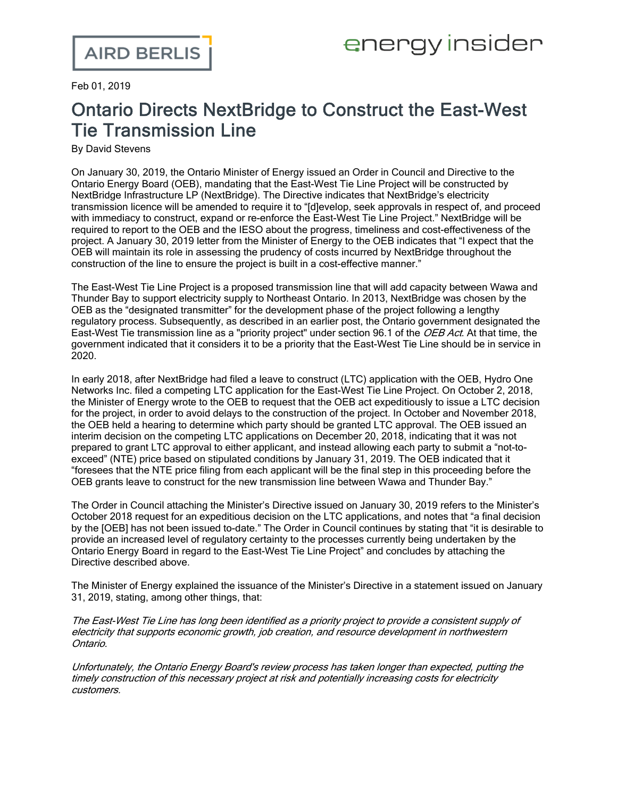Feb 01, 2019

## Ontario Directs NextBridge to Construct the East-West Tie Transmission Line

By David Stevens

On January 30, 2019, the Ontario Minister of Energy issued an Order in Council and [Directive](http://www.rds.oeb.ca/HPECMWebDrawer/Record/633083/File/document) to the Ontario Energy Board (OEB), mandating that the East-West Tie Line Project will be constructed by NextBridge Infrastructure LP (NextBridge). The Directive indicates that NextBridge's electricity transmission licence will be amended to require it to "[d]evelop, seek approvals in respect of, and proceed with immediacy to construct, expand or re-enforce the East-West Tie Line Project." NextBridge will be required to report to the OEB and the IESO about the progress, timeliness and cost-effectiveness of the project. A [January](http://www.rds.oeb.ca/HPECMWebDrawer/Record/633084/File/document) 30, 2019 letter from the Minister of Energy to the OEB indicates that "I expect that the OEB will maintain its role in assessing the prudency of costs incurred by NextBridge throughout the construction of the line to ensure the project is built in a cost-effective manner."

The East-West Tie Line Project is a proposed transmission line that will add capacity between Wawa and Thunder Bay to support electricity supply to Northeast Ontario. In 2013, NextBridge was [chosen](http://www.ontarioenergyboard.ca/oeb/_Documents/EB-2011-0140/Dec_Order_Phase2_East-WestTie_20130807.pdf) by the [OEB](http://www.ontarioenergyboard.ca/oeb/_Documents/EB-2011-0140/Dec_Order_Phase2_East-WestTie_20130807.pdf) as the "designated transmitter" for the development phase of the project following a lengthy regulatory process. Subsequently, as described in an [earlier](https://www.airdberlis.com/insights/blogs/energyinsider/post/ei-item/east-west-tie-designated-as-a-priority-project) post, the Ontario government [designated](https://www.oeb.ca/oeb/_Documents/Documents/ltr_Ministry_OEB_EW-Tie_Priority_Project_20160310.pdf) the East-West Tie transmission line as a "priority project" under section 96.1 of the [OEB](https://www.ontario.ca/laws/statute/98o15%20-%20BK99) Act. At that time, the government indicated that it considers it to be a priority that the East-West Tie Line should be in service in 2020.

In early 2018, after NextBridge had filed a leave to construct (LTC) application with the OEB, Hydro One Networks Inc. filed a competing LTC application for the East-West Tie Line Project. On October 2, 2018, the Minister of Energy [wrote](http://www.rds.oeb.ca/HPECMWebDrawer/Record/622249/File/document) to the OEB to request that the OEB act expeditiously to issue a LTC decision for the project, in order to avoid delays to the construction of the project. In October and November 2018, the OEB held a hearing to determine which party should be granted LTC approval. The OEB issued an interim [decision](http://www.rds.oeb.ca/HPECMWebDrawer/Record/629660/File/document) on the competing LTC applications on December 20, 2018, indicating that it was not prepared to grant LTC approval to either applicant, and instead allowing each party to submit a "not-toexceed" (NTE) price based on stipulated conditions by January 31, 2019. The OEB indicated that it "foresees that the NTE price filing from each applicant will be the final step in this proceeding before the OEB grants leave to construct for the new transmission line between Wawa and Thunder Bay."

The Order in Council attaching the Minister's Directive issued on January 30, 2019 refers to the Minister's October 2018 request for an expeditious decision on the LTC applications, and notes that "a final decision by the [OEB] has not been issued to-date." The Order in Council continues by stating that "it is desirable to provide an increased level of regulatory certainty to the processes currently being undertaken by the Ontario Energy Board in regard to the East-West Tie Line Project" and concludes by attaching the Directive described above.

The Minister of Energy explained the issuance of the Minister's Directive in a [statement](https://news.ontario.ca/mndmf/en/2019/01/statement-by-minister-rickford-on-east-west-tie-line-project.html) issued on January 31, 2019, stating, among other things, that:

The East-West Tie Line has long been identified as <sup>a</sup> priority project to provide <sup>a</sup> consistent supply of electricity that supports economic growth, job creation, and resource development in northwestern Ontario.

Unfortunately, the Ontario Energy Board's review process has taken longer than expected, putting the timely construction of this necessary project at risk and potentially increasing costs for electricity customers.